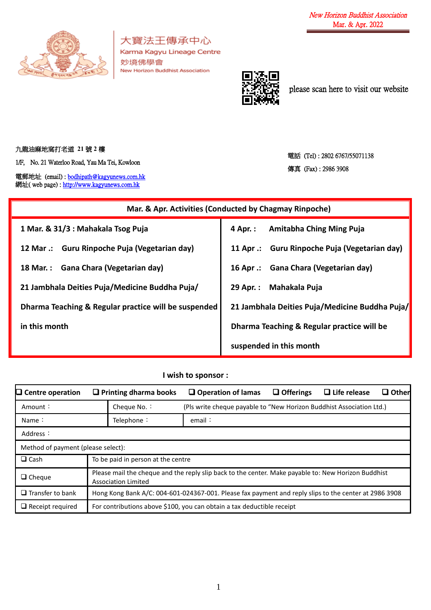

大寶法王傳承中心 Karma Kagyu Lineage Centre 妙境佛學會 New Horizon Buddhist Association



please scan here to visit our website

九龍油麻地窩打老道 **21** 號 **2** 樓

1/F, No. 21 Waterloo Road, Yau Ma Tei, Kowloon

電郵地址 (email) [: bodhipath@kagyunews.com.hk](mailto:bodhipath@kagyunews.com.hk) 網址( web page) : [http://www.kagyunews.com.hk](http://www.kagyunews.com.hk/)

電話 (Tel) : 2802 6767/55071138 傳真 (Fax) : 2986 3908

| Mar. & Apr. Activities (Conducted by Chagmay Rinpoche) |                                                |  |  |  |  |
|--------------------------------------------------------|------------------------------------------------|--|--|--|--|
| 1 Mar. & 31/3 : Mahakala Tsog Puja                     | Amitabha Ching Ming Puja<br>4 Apr. :           |  |  |  |  |
| 12 Mar .: Guru Rinpoche Puja (Vegetarian day)          | 11 Apr .: Guru Rinpoche Puja (Vegetarian day)  |  |  |  |  |
| 18 Mar.: Gana Chara (Vegetarian day)                   | 16 Apr .: Gana Chara (Vegetarian day)          |  |  |  |  |
| 21 Jambhala Deities Puja/Medicine Buddha Puja/         | Mahakala Puja<br>29 Apr. :                     |  |  |  |  |
| Dharma Teaching & Regular practice will be suspended   | 21 Jambhala Deities Puja/Medicine Buddha Puja/ |  |  |  |  |
| in this month                                          | Dharma Teaching & Regular practice will be     |  |  |  |  |
|                                                        | suspended in this month                        |  |  |  |  |

**I wish to sponsor :**

| $\Box$ Centre operation            | $\Box$ Printing dharma books                                                                                                      | $\Box$ Operation of lamas                                              | $\Box$ Offerings | $\Box$ Life release | $\Box$ Other |
|------------------------------------|-----------------------------------------------------------------------------------------------------------------------------------|------------------------------------------------------------------------|------------------|---------------------|--------------|
| Amount:                            | Cheque No.:                                                                                                                       | (Pls write cheque payable to "New Horizon Buddhist Association Ltd.)   |                  |                     |              |
| Name $\therefore$                  | Telephone:                                                                                                                        | email:                                                                 |                  |                     |              |
| Address:                           |                                                                                                                                   |                                                                        |                  |                     |              |
| Method of payment (please select): |                                                                                                                                   |                                                                        |                  |                     |              |
| $\Box$ Cash                        | To be paid in person at the centre                                                                                                |                                                                        |                  |                     |              |
| $\Box$ Cheque                      | Please mail the cheque and the reply slip back to the center. Make payable to: New Horizon Buddhist<br><b>Association Limited</b> |                                                                        |                  |                     |              |
| $\Box$ Transfer to bank            | Hong Kong Bank A/C: 004-601-024367-001. Please fax payment and reply slips to the center at 2986 3908                             |                                                                        |                  |                     |              |
| $\Box$ Receipt required            |                                                                                                                                   | For contributions above \$100, you can obtain a tax deductible receipt |                  |                     |              |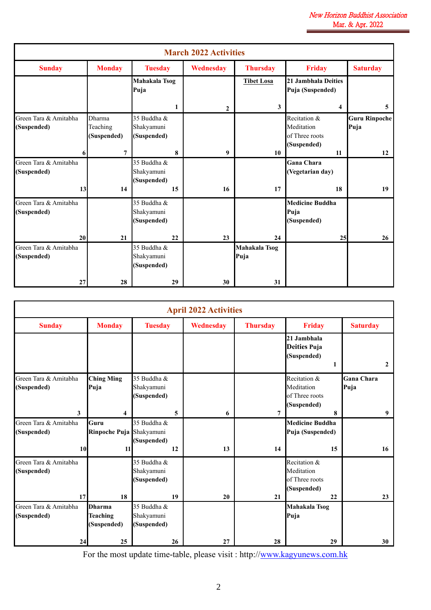|                                      |                                          |                                          |    | <b>March 2022 Activities</b> |                       |                                                             |                              |
|--------------------------------------|------------------------------------------|------------------------------------------|----|------------------------------|-----------------------|-------------------------------------------------------------|------------------------------|
| <b>Sunday</b>                        | <b>Monday</b>                            | <b>Tuesday</b>                           |    | Wednesday                    | <b>Thursday</b>       | <b>Friday</b>                                               | <b>Saturday</b>              |
|                                      |                                          | Mahakala Tsog<br>Puja                    |    |                              | <b>Tibet Losa</b>     | 21 Jambhala Deities<br>Puja (Suspended)                     |                              |
|                                      |                                          |                                          | 1  | $\overline{2}$               | 3                     | 4                                                           | 5                            |
| Green Tara & Amitabha<br>(Suspended) | <b>Dharma</b><br>Teaching<br>(Suspended) | 35 Buddha &<br>Shakyamuni<br>(Suspended) |    |                              |                       | Recitation &<br>Meditation<br>of Three roots<br>(Suspended) | <b>Guru Rinpoche</b><br>Puja |
| 6                                    | $\overline{7}$                           |                                          | 8  | 9                            | 10                    | 11                                                          | 12                           |
| Green Tara & Amitabha<br>(Suspended) |                                          | 35 Buddha &<br>Shakyamuni<br>(Suspended) |    |                              |                       | <b>Gana Chara</b><br>(Vegetarian day)                       |                              |
| 13                                   | 14                                       |                                          | 15 | 16                           | 17                    | 18                                                          | 19                           |
| Green Tara & Amitabha<br>(Suspended) |                                          | 35 Buddha &<br>Shakyamuni<br>(Suspended) |    |                              |                       | <b>Medicine Buddha</b><br>Puja<br>(Suspended)               |                              |
| 20                                   | 21                                       |                                          | 22 | 23                           | 24                    | 25                                                          | 26                           |
| Green Tara & Amitabha<br>(Suspended) |                                          | 35 Buddha &<br>Shakyamuni<br>(Suspended) |    |                              | Mahakala Tsog<br>Puja |                                                             |                              |
| 27                                   | 28                                       |                                          | 29 | 30                           | 31                    |                                                             |                              |

| <b>Monday</b>                                   | <b>Tuesday</b>                           |                          |           |                 |                                                                   |                                 |
|-------------------------------------------------|------------------------------------------|--------------------------|-----------|-----------------|-------------------------------------------------------------------|---------------------------------|
|                                                 |                                          |                          | Wednesday | <b>Thursday</b> | <b>Friday</b>                                                     | <b>Saturday</b>                 |
|                                                 |                                          |                          |           |                 | 21 Jambhala<br><b>Deities Puja</b><br>(Suspended)<br>1            | $\overline{2}$                  |
| <b>Ching Ming</b><br>Puja                       | 35 Buddha &<br>Shakyamuni<br>(Suspended) |                          |           |                 | Recitation &<br>Meditation<br>of Three roots                      | <b>Gana Chara</b><br>Puja       |
| 4                                               |                                          | 5                        | 6         | $\overline{7}$  | 8                                                                 | 9                               |
| Guru<br>11                                      | 35 Buddha &<br>(Suspended)               | 12                       | 13        | 14              | <b>Medicine Buddha</b><br>Puja (Suspended)<br>15                  | 16                              |
| 18                                              | 35 Buddha &<br>Shakyamuni<br>(Suspended) | 19                       | 20        | 21              | Recitation &<br>Meditation<br>of Three roots<br>(Suspended)<br>22 | 23                              |
| <b>Dharma</b><br><b>Teaching</b><br>(Suspended) | 35 Buddha &<br>Shakyamuni<br>(Suspended) |                          |           |                 | Mahakala Tsog                                                     | 30                              |
|                                                 | 25                                       | Rinpoche Puja Shakyamuni | 26        | 27              |                                                                   | (Suspended)<br>Puja<br>28<br>29 |

For the most update time-table, please visit : http:/[/www.kagyunews.com.hk](http://www.kagyunews.com.hk/)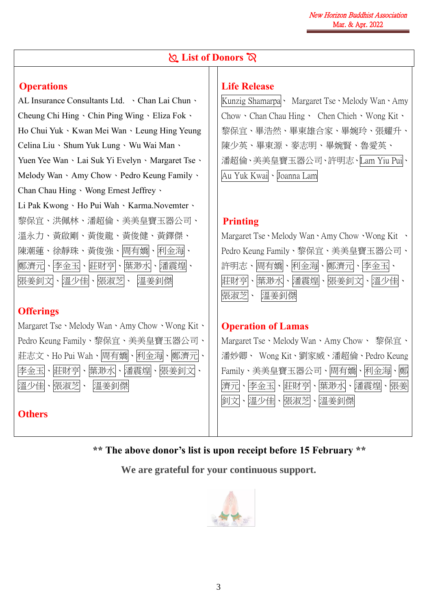## **List of Donors**  $\alpha$

#### **Operations**

AL Insurance Consultants Ltd. 、Chan Lai Chun、 Cheung Chi Hing、Chin Ping Wing、Eliza Fok、 Ho Chui Yuk、Kwan Mei Wan、Leung Hing Yeung Celina Liu、Shum Yuk Lung、Wu Wai Man、 Yuen Yee Wan、Lai Suk Yi Evelyn、Margaret Tse、 Melody Wan、Amy Chow、Pedro Keung Family、 Chan Chau Hing、Wong Ernest Jeffrey、 Li Pak Kwong、Ho Pui Wah、Karma.Novemter、 黎保宜、洪佩林、潘超倫、美美皇寶玉器公司、 溫永力、黃啟剛、黃俊龍、黃俊健、黃鐸傑、 陳潮蓮、徐靜珠、黃俊強、周有嬌、利金海、 鄭濟元、李金玉、莊財亨、葉渺水、潘震煌、 張姜釗文、溫少佳、張淑芝、 溫姜釗傑

### **Offerings**

Margaret Tse、Melody Wan、Amy Chow、Wong Kit、 Pedro Keung Family、黎保宜、美美皇寶玉器公司、 莊志文、Ho Pui Wah、周有嬌、利金海、鄭濟元、 李金玉、莊財亨、葉渺水、潘震煌、張姜釗文、 溫少佳、張淑芝、 溫姜釗傑 **Others** 

# **Life Release**

Kunzig Shamarpa<sup>、</sup> Margaret Tse、Melody Wan、Amy Chow、Chan Chau Hing、 Chen Chieh、Wong Kit、 黎保宜、畢浩然、畢東雄合家、畢婉玲、張耀升、 陳少英、畢東源、麥志明、畢婉賢、魯愛英、 潘超倫、美美皇寶玉器公司、許明志、Lam Yiu Pui、 Au Yuk Kwai、Joanna Lam

### **Printing**

Margaret Tse、Melody Wan、Amy Chow、Wong Kit 、 Pedro Keung Family、黎保宜、美美皇寶玉器公司、 許明志、周有嬌、利金海、鄭濟元、李金玉、 莊財亨、葉渺水、潘震煌、張姜釗文、溫少佳、 張淑芝、 溫姜釗傑

#### **Operation of Lamas**

Margaret Tse、Melody Wan、Amy Chow、 黎保官、 潘妙卿、 Wong Kit、劉家威、潘超倫、Pedro Keung Family、美美皇寶玉器公司、周有嬌、利金海、鄭 濟元、李金玉、莊財亨、葉渺水、潘震煌、張姜 釗文、溫少佳、張淑芝、溫姜釗傑

**\*\* The above donor's list is upon receipt before 15 February \*\***

**We are grateful for your continuous support.**

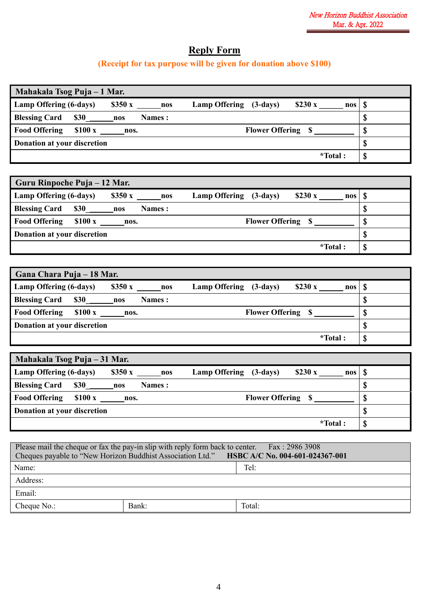# **Reply Form**

# **(Receipt for tax purpose will be given for donation above \$100)**

| Mahakala Tsog Puja – 1 Mar.                           |                                                            |    |
|-------------------------------------------------------|------------------------------------------------------------|----|
| Lamp Offering (6-days)<br>\$350x                      | <b>Lamp Offering</b><br>\$230x<br>$(3-days)$<br>nos<br>nos | S  |
| <b>Blessing Card</b><br><b>\$30</b><br>Names :<br>nos |                                                            | \$ |
| <b>Food Offering</b><br>\$100x<br>nos.                | <b>Flower Offering \$</b>                                  |    |
| Donation at your discretion                           |                                                            | \$ |
|                                                       | *Total:                                                    | \$ |

| Guru Rinpoche Puja – 12 Mar.                                                              |     |    |
|-------------------------------------------------------------------------------------------|-----|----|
| Lamp Offering (6-days)<br>\$350x<br><b>Lamp Offering</b><br>$\$230x$<br>$(3-days)$<br>nos | nos | S  |
| <b>Blessing Card</b><br><b>\$30</b><br>Names :<br>nos                                     |     |    |
| <b>Food Offering</b><br>\$100x<br><b>Flower Offering \$</b><br>nos.                       |     |    |
| Donation at your discretion                                                               |     | \$ |
| *Total:                                                                                   |     | S  |

| Gana Chara Puja – 18 Mar.                                                               |     |
|-----------------------------------------------------------------------------------------|-----|
| Lamp Offering (6-days)<br>\$350x<br><b>Lamp Offering</b><br>\$230x<br>$(3-days)$<br>nos | nos |
| <b>Blessing Card</b><br><b>\$30</b><br>Names :<br>nos                                   |     |
| <b>Food Offering</b><br>\$100x<br><b>Flower Offering</b><br>nos.                        |     |
| Donation at your discretion                                                             | D.  |
| *Total:                                                                                 | Φ   |

| Mahakala Tsog Puja – 31 Mar.                                                  |               |    |
|-------------------------------------------------------------------------------|---------------|----|
| Lamp Offering (6-days)<br>\$350x<br><b>Lamp Offering</b><br>$(3-days)$<br>nos | \$230x<br>nos |    |
| <b>Blessing Card</b><br><b>\$30</b><br>Names :<br>nos                         |               |    |
| <b>Food Offering</b><br>\$100x<br><b>Flower Offering \$</b><br>nos.           |               | Ψ  |
| Donation at your discretion                                                   |               | ູມ |
|                                                                               | *Total:       | Ψ  |

| Please mail the cheque or fax the pay-in slip with reply form back to center. Fax: 2986 3908<br>Cheques payable to "New Horizon Buddhist Association Ltd." HSBC A/C No. 004-601-024367-001 |       |        |  |  |
|--------------------------------------------------------------------------------------------------------------------------------------------------------------------------------------------|-------|--------|--|--|
| Name:                                                                                                                                                                                      |       | Tel:   |  |  |
| Address:                                                                                                                                                                                   |       |        |  |  |
| Email:                                                                                                                                                                                     |       |        |  |  |
| Cheque No.:                                                                                                                                                                                | Bank: | Total: |  |  |